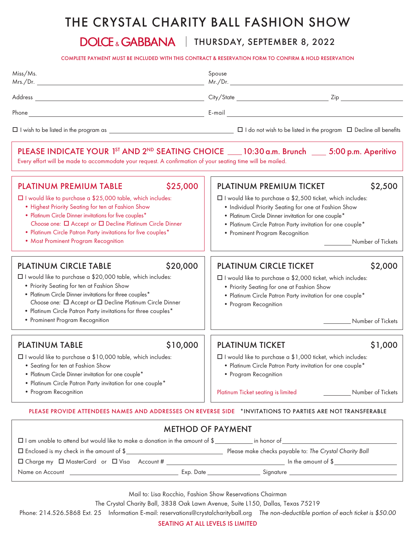## THE CRYSTAL CHARITY BALL FASHION SHOW

## DOLCE & GABBANA | THURSDAY, SEPTEMBER 8, 2022

COMPLETE PAYMENT MUST BE INCLUDED WITH THIS CONTRACT & RESERVATION FORM TO CONFIRM & HOLD RESERVATION

|                                                                                                                                                                                                                                                                                                                                                                                                         |          | COMPLETE PAYMENT MUST BE INCLUDED WITH THIS CONTRACT & RESERVATION FORM TO CONFIRM & HOLD RESERVATION                                                                                                                                                                                                                                               |                                                      |  |
|---------------------------------------------------------------------------------------------------------------------------------------------------------------------------------------------------------------------------------------------------------------------------------------------------------------------------------------------------------------------------------------------------------|----------|-----------------------------------------------------------------------------------------------------------------------------------------------------------------------------------------------------------------------------------------------------------------------------------------------------------------------------------------------------|------------------------------------------------------|--|
| Miss/Ms.                                                                                                                                                                                                                                                                                                                                                                                                |          | Spouse                                                                                                                                                                                                                                                                                                                                              |                                                      |  |
|                                                                                                                                                                                                                                                                                                                                                                                                         |          |                                                                                                                                                                                                                                                                                                                                                     |                                                      |  |
|                                                                                                                                                                                                                                                                                                                                                                                                         |          |                                                                                                                                                                                                                                                                                                                                                     |                                                      |  |
|                                                                                                                                                                                                                                                                                                                                                                                                         |          |                                                                                                                                                                                                                                                                                                                                                     |                                                      |  |
| PLEASE INDICATE YOUR 1 <sup>5T</sup> AND 2 <sup>ND</sup> SEATING CHOICE 10:30 a.m. Brunch 16:00 p.m. Aperitivo<br>Every effort will be made to accommodate your request. A confirmation of your seating time will be mailed.                                                                                                                                                                            |          |                                                                                                                                                                                                                                                                                                                                                     |                                                      |  |
| \$25,000<br><b>PLATINUM PREMIUM TABLE</b><br>□ I would like to purchase a \$25,000 table, which includes:<br>. Highest Priority Seating for ten at Fashion Show<br>• Platinum Circle Dinner invitations for five couples*<br>Choose one: $\Box$ Accept or $\Box$ Decline Platinum Circle Dinner<br>• Platinum Circle Patron Party invitations for five couples*<br>• Most Prominent Program Recognition |          | \$2,500<br><b>PLATINUM PREMIUM TICKET</b><br>$\Box$ I would like to purchase a \$2,500 ticket, which includes:<br>. Individual Priority Seating for one at Fashion Show<br>• Platinum Circle Dinner invitation for one couple*<br>· Platinum Circle Patron Party invitation for one couple*<br>• Prominent Program Recognition<br>Number of Tickets |                                                      |  |
| <b>PLATINUM CIRCLE TABLE</b>                                                                                                                                                                                                                                                                                                                                                                            | \$20,000 | <b>PLATINUM CIRCLE TICKET</b>                                                                                                                                                                                                                                                                                                                       | \$2,000                                              |  |
| □ I would like to purchase a \$20,000 table, which includes:<br>• Priority Seating for ten at Fashion Show<br>• Platinum Circle Dinner invitations for three couples*<br>Choose one: $\Box$ Accept or $\Box$ Decline Platinum Circle Dinner<br>• Platinum Circle Patron Party invitations for three couples*<br>• Prominent Program Recognition                                                         |          | □ I would like to purchase a \$2,000 ticket, which includes:<br>• Priority Seating for one at Fashion Show<br>• Platinum Circle Patron Party invitation for one couple*<br>• Program Recognition                                                                                                                                                    | Number of Tickets<br>$\frac{1}{2}$ and $\frac{1}{2}$ |  |
| <b>PLATINUM TABLE</b>                                                                                                                                                                                                                                                                                                                                                                                   | \$10,000 | <b>PLATINUM TICKET</b>                                                                                                                                                                                                                                                                                                                              | \$1,000                                              |  |
| □ I would like to purchase a \$10,000 table, which includes:<br>• Seating for ten at Fashion Show<br>• Platinum Circle Dinner invitation for one couple*<br>• Platinum Circle Patron Party invitation for one couple*                                                                                                                                                                                   |          | □ I would like to purchase a \$1,000 ticket, which includes:<br>· Platinum Circle Patron Party invitation for one couple*<br>• Program Recognition                                                                                                                                                                                                  |                                                      |  |
| • Program Recognition                                                                                                                                                                                                                                                                                                                                                                                   |          | Platinum Ticket seating is limited                                                                                                                                                                                                                                                                                                                  | Number of Tickets                                    |  |

PLEASE PROVIDE ATTENDEES NAMES AND ADDRESSES ON REVERSE SIDE \*INVITATIONS TO PARTIES ARE NOT TRANSFERABLE

| <b>METHOD OF PAYMENT</b>                                                                                                                                                |                                                         |  |  |  |  |  |
|-------------------------------------------------------------------------------------------------------------------------------------------------------------------------|---------------------------------------------------------|--|--|--|--|--|
| $\Box$ I am unable to attend but would like to make a donation in the amount of \$                                                                                      | in honor of                                             |  |  |  |  |  |
| $\Box$ Enclosed is my check in the amount of \$<br><u> 1980 - Andrea Albert III, am bhliain 1980 - An t-Albert III, an t-Albert III, an t-Albert III, an t-Albert I</u> | Please make checks payable to: The Crystal Charity Ball |  |  |  |  |  |
| $\Box$ Charge my $\Box$ MasterCard or $\Box$ Visa Account #                                                                                                             | In the amount of $\$$                                   |  |  |  |  |  |
| Name on Account that the state of the state of the state of the state of the state of the state of the state o<br>Exp. Date                                             | Signature <u>__________________________________</u>     |  |  |  |  |  |

Mail to: Lisa Rocchio, Fashion Show Reservations Chairman

The Crystal Charity Ball, 3838 Oak Lawn Avenue, Suite L150, Dallas, Texas 75219

Phone: 214.526.5868 Ext. 25 Information E-mail: reservations@crystalcharityball.org *The non-deductible portion of each ticket is \$50.00*

SEATING AT ALL LEVELS IS LIMITED